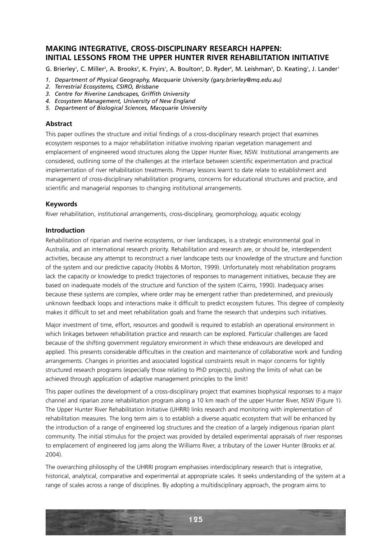# **MAKING INTEGRATIVE, CROSS-DISCIPLINARY RESEARCH HAPPEN: INITIAL LESSONS FROM THE UPPER HUNTER RIVER REHABILITATION INITIATIVE**

G. Brierley', C. Miller<sup>2</sup>, A. Brooks<sup>3</sup>, K. Fryirs', A. Boulton<sup>4</sup>, D. Ryder<sup>4</sup>, M. Leishman<sup>s</sup>, D. Keating', J. Lander'

- *1. Department of Physical Geography, Macquarie University (gary.brierley@mq.edu.au)*
- *2. Terrestrial Ecosystems, CSIRO, Brisbane*
- *3. Centre for Riverine Landscapes, Griffith University*
- *4. Ecosystem Management, University of New England*
- *5. Department of Biological Sciences, Macquarie University*

### **Abstract**

This paper outlines the structure and initial findings of a cross-disciplinary research project that examines ecosystem responses to a major rehabilitation initiative involving riparian vegetation management and emplacement of engineered wood structures along the Upper Hunter River, NSW. Institutional arrangements are considered, outlining some of the challenges at the interface between scientific experimentation and practical implementation of river rehabilitation treatments. Primary lessons learnt to date relate to establishment and management of cross-disciplinary rehabilitation programs, concerns for educational structures and practice, and scientific and managerial responses to changing institutional arrangements.

### **Keywords**

River rehabilitation, institutional arrangements, cross-disciplinary, geomorphology, aquatic ecology

### **Introduction**

Rehabilitation of riparian and riverine ecosystems, or river landscapes, is a strategic environmental goal in Australia, and an international research priority. Rehabilitation and research are, or should be, interdependent activities, because any attempt to reconstruct a river landscape tests our knowledge of the structure and function of the system and our predictive capacity (Hobbs & Morton, 1999). Unfortunately most rehabilitation programs lack the capacity or knowledge to predict trajectories of responses to management initiatives, because they are based on inadequate models of the structure and function of the system (Cairns, 1990). Inadequacy arises because these systems are complex, where order may be emergent rather than predetermined, and previously unknown feedback loops and interactions make it difficult to predict ecosystem futures. This degree of complexity makes it difficult to set and meet rehabilitation goals and frame the research that underpins such initiatives.

Major investment of time, effort, resources and goodwill is required to establish an operational environment in which linkages between rehabilitation practice and research can be explored. Particular challenges are faced because of the shifting government regulatory environment in which these endeavours are developed and applied. This presents considerable difficulties in the creation and maintenance of collaborative work and funding arrangements. Changes in priorities and associated logistical constraints result in major concerns for tightly structured research programs (especially those relating to PhD projects), pushing the limits of what can be achieved through application of adaptive management principles to the limit!

This paper outlines the development of a cross-disciplinary project that examines biophysical responses to a major channel and riparian zone rehabilitation program along a 10 km reach of the upper Hunter River, NSW (Figure 1). The Upper Hunter River Rehabilitation Initiative (UHRRI) links research and monitoring with implementation of rehabilitation measures. The long term aim is to establish a diverse aquatic ecosystem that will be enhanced by the introduction of a range of engineered log structures and the creation of a largely indigenous riparian plant community. The initial stimulus for the project was provided by detailed experimental appraisals of river responses to emplacement of engineered log jams along the Williams River, a tributary of the Lower Hunter (Brooks *et al.* 2004).

The overarching philosophy of the UHRRI program emphasises interdisciplinary research that is integrative, historical, analytical, comparative and experimental at appropriate scales. It seeks understanding of the system at a range of scales across a range of disciplines. By adopting a multidisciplinary approach, the program aims to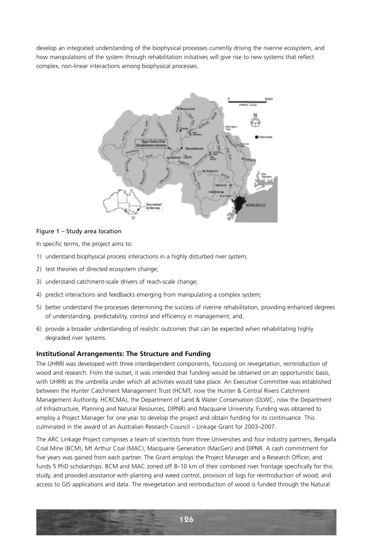develop an integrated understanding of the biophysical processes currently driving the riverine ecosystem, and how manipulations of the system through rehabilitation initiatives will give rise to new systems that reflect complex, non-linear interactions among biophysical processes.



## Figure 1 – Study area location

In specific terms, the project aims to:

- 1) understand biophysical process interactions in a highly disturbed river system;
- 2) test theories of directed ecosystem change;
- 3) understand catchment-scale drivers of reach-scale change;
- 4) predict interactions and feedbacks emerging from manipulating a complex system;
- 5) better understand the processes determining the success of riverine rehabilitation, providing enhanced degrees of understanding, predictability, control and efficiency in management; and,
- 6) provide a broader understanding of realistic outcomes that can be expected when rehabilitating highly degraded river systems.

#### **Institutional Arrangements: The Structure and Funding**

The UHRRI was developed with three interdependent components, focussing on revegetation, reintroduction of wood and research. From the outset, it was intended that funding would be obtained on an opportunistic basis, with UHRRI as the umbrella under which all activities would take place. An Executive Committee was established between the Hunter Catchment Management Trust (HCMT, now the Hunter & Central Rivers Catchment Management Authority, HCRCMA), the Department of Land & Water Conservation (DLWC, now the Department of Infrastructure, Planning and Natural Resources, DIPNR) and Macquarie University. Funding was obtained to employ a Project Manager for one year to develop the project and obtain funding for its continuance. This culminated in the award of an Australian Research Council – Linkage Grant for 2003–2007.

The ARC Linkage Project comprises a team of scientists from three Universities and four industry partners, Bengalla Coal Mine (BCM), Mt Arthur Coal (MAC), Macquarie Generation (MacGen) and DIPNR. A cash commitment for five years was gained from each partner. The Grant employs the Project Manager and a Research Officer, and funds 5 PhD scholarships. BCM and MAC zoned off 8–10 km of their combined river frontage specifically for this study, and provided assistance with planting and weed control, provision of logs for reintroduction of wood, and access to GIS applications and data. The revegetation and reintroduction of wood is funded through the Natural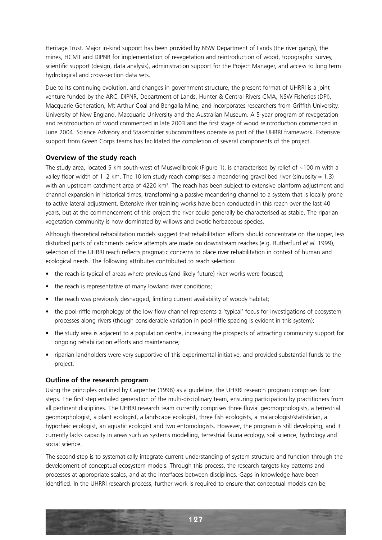Heritage Trust. Major in-kind support has been provided by NSW Department of Lands (the river gangs), the mines, HCMT and DIPNR for implementation of revegetation and reintroduction of wood, topographic survey, scientific support (design, data analysis), administration support for the Project Manager, and access to long term hydrological and cross-section data sets.

Due to its continuing evolution, and changes in government structure, the present format of UHRRI is a joint venture funded by the ARC, DIPNR, Department of Lands, Hunter & Central Rivers CMA, NSW Fisheries (DPI), Macquarie Generation, Mt Arthur Coal and Bengalla Mine, and incorporates researchers from Griffith University, University of New England, Macquarie University and the Australian Museum. A 5-year program of revegetation and reintroduction of wood commenced in late 2003 and the first stage of wood reintroduction commenced in June 2004. Science Advisory and Stakeholder subcommittees operate as part of the UHRRI framework. Extensive support from Green Corps teams has facilitated the completion of several components of the project.

## **Overview of the study reach**

The study area, located 5 km south-west of Muswellbrook (Figure 1), is characterised by relief of ~100 m with a valley floor width of 1–2 km. The 10 km study reach comprises a meandering gravel bed river (sinuosity  $\approx 1.3$ ) with an upstream catchment area of 4220 km<sup>2</sup>. The reach has been subject to extensive planform adjustment and channel expansion in historical times, transforming a passive meandering channel to a system that is locally prone to active lateral adjustment. Extensive river training works have been conducted in this reach over the last 40 years, but at the commencement of this project the river could generally be characterised as stable. The riparian vegetation community is now dominated by willows and exotic herbaceous species.

Although theoretical rehabilitation models suggest that rehabilitation efforts should concentrate on the upper, less disturbed parts of catchments before attempts are made on downstream reaches (e.g. Rutherfurd *et al.* 1999), selection of the UHRRI reach reflects pragmatic concerns to place river rehabilitation in context of human and ecological needs. The following attributes contributed to reach selection:

- the reach is typical of areas where previous (and likely future) river works were focused;
- the reach is representative of many lowland river conditions;
- the reach was previously desnagged, limiting current availability of woody habitat;
- the pool-riffle morphology of the low flow channel represents a 'typical' focus for investigations of ecosystem processes along rivers (though considerable variation in pool-riffle spacing is evident in this system);
- the study area is adjacent to a population centre, increasing the prospects of attracting community support for ongoing rehabilitation efforts and maintenance;
- riparian landholders were very supportive of this experimental initiative, and provided substantial funds to the project.

## **Outline of the research program**

Using the principles outlined by Carpenter (1998) as a guideline, the UHRRI research program comprises four steps. The first step entailed generation of the multi-disciplinary team, ensuring participation by practitioners from all pertinent disciplines. The UHRRI research team currently comprises three fluvial geomorphologists, a terrestrial geomorphologist, a plant ecologist, a landscape ecologist, three fish ecologists, a malacologist/statistician, a hyporheic ecologist, an aquatic ecologist and two entomologists. However, the program is still developing, and it currently lacks capacity in areas such as systems modelling, terrestrial fauna ecology, soil science, hydrology and social science.

The second step is to systematically integrate current understanding of system structure and function through the development of conceptual ecosystem models. Through this process, the research targets key patterns and processes at appropriate scales, and at the interfaces between disciplines. Gaps in knowledge have been identified. In the UHRRI research process, further work is required to ensure that conceptual models can be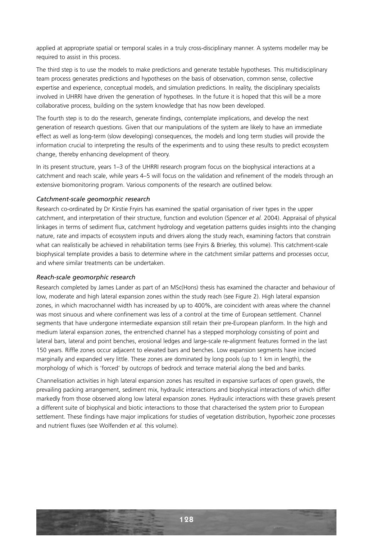applied at appropriate spatial or temporal scales in a truly cross-disciplinary manner. A systems modeller may be required to assist in this process.

The third step is to use the models to make predictions and generate testable hypotheses. This multidisciplinary team process generates predictions and hypotheses on the basis of observation, common sense, collective expertise and experience, conceptual models, and simulation predictions. In reality, the disciplinary specialists involved in UHRRI have driven the generation of hypotheses. In the future it is hoped that this will be a more collaborative process, building on the system knowledge that has now been developed.

The fourth step is to do the research, generate findings, contemplate implications, and develop the next generation of research questions. Given that our manipulations of the system are likely to have an immediate effect as well as long-term (slow developing) consequences, the models and long term studies will provide the information crucial to interpreting the results of the experiments and to using these results to predict ecosystem change, thereby enhancing development of theory.

In its present structure, years 1–3 of the UHRRI research program focus on the biophysical interactions at a catchment and reach scale, while years 4–5 will focus on the validation and refinement of the models through an extensive biomonitoring program. Various components of the research are outlined below.

### *Catchment-scale geomorphic research*

Research co-ordinated by Dr Kirstie Fryirs has examined the spatial organisation of river types in the upper catchment, and interpretation of their structure, function and evolution (Spencer *et al.* 2004). Appraisal of physical linkages in terms of sediment flux, catchment hydrology and vegetation patterns guides insights into the changing nature, rate and impacts of ecosystem inputs and drivers along the study reach, examining factors that constrain what can realistically be achieved in rehabilitation terms (see Fryirs & Brierley, this volume). This catchment-scale biophysical template provides a basis to determine where in the catchment similar patterns and processes occur, and where similar treatments can be undertaken.

#### *Reach-scale geomorphic research*

Research completed by James Lander as part of an MSc(Hons) thesis has examined the character and behaviour of low, moderate and high lateral expansion zones within the study reach (see Figure 2). High lateral expansion zones, in which macrochannel width has increased by up to 400%, are coincident with areas where the channel was most sinuous and where confinement was less of a control at the time of European settlement. Channel segments that have undergone intermediate expansion still retain their pre-European planform. In the high and medium lateral expansion zones, the entrenched channel has a stepped morphology consisting of point and lateral bars, lateral and point benches, erosional ledges and large-scale re-alignment features formed in the last 150 years. Riffle zones occur adjacent to elevated bars and benches. Low expansion segments have incised marginally and expanded very little. These zones are dominated by long pools (up to 1 km in length), the morphology of which is 'forced' by outcrops of bedrock and terrace material along the bed and banks.

Channelisation activities in high lateral expansion zones has resulted in expansive surfaces of open gravels, the prevailing packing arrangement, sediment mix, hydraulic interactions and biophysical interactions of which differ markedly from those observed along low lateral expansion zones. Hydraulic interactions with these gravels present a different suite of biophysical and biotic interactions to those that characterised the system prior to European settlement. These findings have major implications for studies of vegetation distribution, hyporheic zone processes and nutrient fluxes (see Wolfenden *et al.* this volume).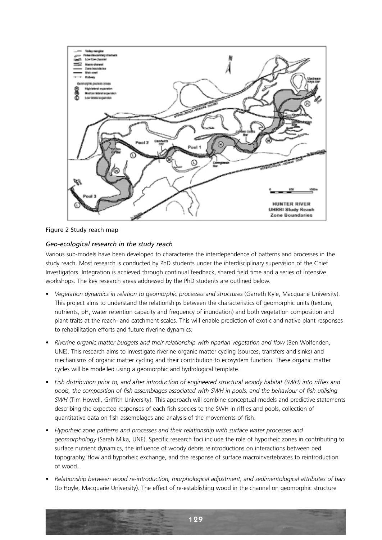

Figure 2 Study reach map

# *Geo-ecological research in the study reach*

Various sub-models have been developed to characterise the interdependence of patterns and processes in the study reach. Most research is conducted by PhD students under the interdisciplinary supervision of the Chief Investigators. Integration is achieved through continual feedback, shared field time and a series of intensive workshops. The key research areas addressed by the PhD students are outlined below.

- *Vegetation dynamics in relation to geomorphic processes and structures* (Garreth Kyle, Macquarie University). This project aims to understand the relationships between the characteristics of geomorphic units (texture, nutrients, pH, water retention capacity and frequency of inundation) and both vegetation composition and plant traits at the reach- and catchment-scales. This will enable prediction of exotic and native plant responses to rehabilitation efforts and future riverine dynamics.
- *Riverine organic matter budgets and their relationship with riparian vegetation and flow* (Ben Wolfenden, UNE). This research aims to investigate riverine organic matter cycling (sources, transfers and sinks) and mechanisms of organic matter cycling and their contribution to ecosystem function. These organic matter cycles will be modelled using a geomorphic and hydrological template.
- *Fish distribution prior to, and after introduction of engineered structural woody habitat (SWH) into riffles and pools, the composition of fish assemblages associated with SWH in pools, and the behaviour of fish utilising SWH* (Tim Howell, Griffith University). This approach will combine conceptual models and predictive statements describing the expected responses of each fish species to the SWH in riffles and pools, collection of quantitative data on fish assemblages and analysis of the movements of fish.
- *Hyporheic zone patterns and processes and their relationship with surface water processes and geomorphology* (Sarah Mika, UNE). Specific research foci include the role of hyporheic zones in contributing to surface nutrient dynamics, the influence of woody debris reintroductions on interactions between bed topography, flow and hyporheic exchange, and the response of surface macroinvertebrates to reintroduction of wood.
- *Relationship between wood re-introduction, morphological adjustment, and sedimentological attributes of bars* (Jo Hoyle, Macquarie University). The effect of re-establishing wood in the channel on geomorphic structure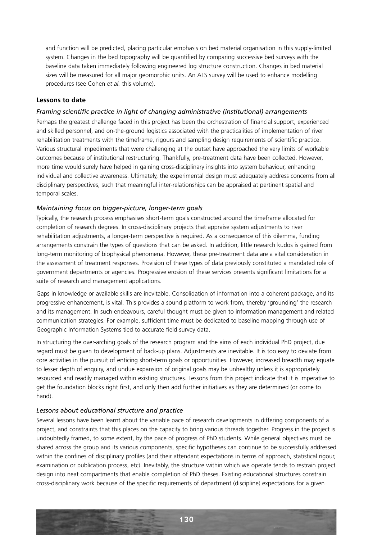and function will be predicted, placing particular emphasis on bed material organisation in this supply-limited system. Changes in the bed topography will be quantified by comparing successive bed surveys with the baseline data taken immediately following engineered log structure construction. Changes in bed material sizes will be measured for all major geomorphic units. An ALS survey will be used to enhance modelling procedures (see Cohen *et al.* this volume).

# **Lessons to date**

## *Framing scientific practice in light of changing administrative (institutional) arrangements*

Perhaps the greatest challenge faced in this project has been the orchestration of financial support, experienced and skilled personnel, and on-the-ground logistics associated with the practicalities of implementation of river rehabilitation treatments with the timeframe, rigours and sampling design requirements of scientific practice. Various structural impediments that were challenging at the outset have approached the very limits of workable outcomes because of institutional restructuring. Thankfully, pre-treatment data have been collected. However, more time would surely have helped in gaining cross-disciplinary insights into system behaviour, enhancing individual and collective awareness. Ultimately, the experimental design must adequately address concerns from all disciplinary perspectives, such that meaningful inter-relationships can be appraised at pertinent spatial and temporal scales.

# *Maintaining focus on bigger-picture, longer-term goals*

Typically, the research process emphasises short-term goals constructed around the timeframe allocated for completion of research degrees. In cross-disciplinary projects that appraise system adjustments to river rehabilitation adjustments, a longer-term perspective is required. As a consequence of this dilemma, funding arrangements constrain the types of questions that can be asked. In addition, little research kudos is gained from long-term monitoring of biophysical phenomena. However, these pre-treatment data are a vital consideration in the assessment of treatment responses. Provision of these types of data previously constituted a mandated role of government departments or agencies. Progressive erosion of these services presents significant limitations for a suite of research and management applications.

Gaps in knowledge or available skills are inevitable. Consolidation of information into a coherent package, and its progressive enhancement, is vital. This provides a sound platform to work from, thereby 'grounding' the research and its management. In such endeavours, careful thought must be given to information management and related communication strategies. For example, sufficient time must be dedicated to baseline mapping through use of Geographic Information Systems tied to accurate field survey data.

In structuring the over-arching goals of the research program and the aims of each individual PhD project, due regard must be given to development of back-up plans. Adjustments are inevitable. It is too easy to deviate from core activities in the pursuit of enticing short-term goals or opportunities. However, increased breadth may equate to lesser depth of enquiry, and undue expansion of original goals may be unhealthy unless it is appropriately resourced and readily managed within existing structures. Lessons from this project indicate that it is imperative to get the foundation blocks right first, and only then add further initiatives as they are determined (or come to hand).

## *Lessons about educational structure and practice*

Several lessons have been learnt about the variable pace of research developments in differing components of a project, and constraints that this places on the capacity to bring various threads together. Progress in the project is undoubtedly framed, to some extent, by the pace of progress of PhD students. While general objectives must be shared across the group and its various components, specific hypotheses can continue to be successfully addressed within the confines of disciplinary profiles (and their attendant expectations in terms of approach, statistical rigour, examination or publication process, etc). Inevitably, the structure within which we operate tends to restrain project design into neat compartments that enable completion of PhD theses. Existing educational structures constrain cross-disciplinary work because of the specific requirements of department (discipline) expectations for a given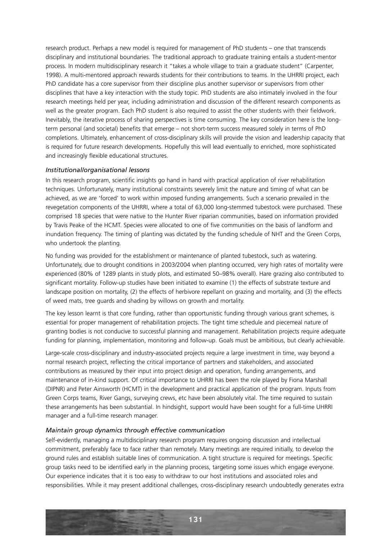research product. Perhaps a new model is required for management of PhD students – one that transcends disciplinary and institutional boundaries. The traditional approach to graduate training entails a student-mentor process. In modern multidisciplinary research it "takes a whole village to train a graduate student" (Carpenter, 1998). A multi-mentored approach rewards students for their contributions to teams. In the UHRRI project, each PhD candidate has a core supervisor from their discipline plus another supervisor or supervisors from other disciplines that have a key interaction with the study topic. PhD students are also intimately involved in the four research meetings held per year, including administration and discussion of the different research components as well as the greater program. Each PhD student is also required to assist the other students with their fieldwork. Inevitably, the iterative process of sharing perspectives is time consuming. The key consideration here is the longterm personal (and societal) benefits that emerge – not short-term success measured solely in terms of PhD completions. Ultimately, enhancement of cross-disciplinary skills will provide the vision and leadership capacity that is required for future research developments. Hopefully this will lead eventually to enriched, more sophisticated and increasingly flexible educational structures.

### *Institutional/organisational lessons*

In this research program, scientific insights go hand in hand with practical application of river rehabilitation techniques. Unfortunately, many institutional constraints severely limit the nature and timing of what can be achieved, as we are 'forced' to work within imposed funding arrangements. Such a scenario prevailed in the revegetation components of the UHRRI, where a total of 63,000 long-stemmed tubestock were purchased. These comprised 18 species that were native to the Hunter River riparian communities, based on information provided by Travis Peake of the HCMT. Species were allocated to one of five communities on the basis of landform and inundation frequency. The timing of planting was dictated by the funding schedule of NHT and the Green Corps, who undertook the planting.

No funding was provided for the establishment or maintenance of planted tubestock, such as watering. Unfortunately, due to drought conditions in 2003/2004 when planting occurred, very high rates of mortality were experienced (80% of 1289 plants in study plots, and estimated 50–98% overall). Hare grazing also contributed to significant mortality. Follow-up studies have been initiated to examine (1) the effects of substrate texture and landscape position on mortality, (2) the effects of herbivore repellant on grazing and mortality, and (3) the effects of weed mats, tree guards and shading by willows on growth and mortality.

The key lesson learnt is that core funding, rather than opportunistic funding through various grant schemes, is essential for proper management of rehabilitation projects. The tight time schedule and piecemeal nature of granting bodies is not conducive to successful planning and management. Rehabilitation projects require adequate funding for planning, implementation, monitoring and follow-up. Goals must be ambitious, but clearly achievable.

Large-scale cross-disciplinary and industry-associated projects require a large investment in time, way beyond a normal research project, reflecting the critical importance of partners and stakeholders, and associated contributions as measured by their input into project design and operation, funding arrangements, and maintenance of in-kind support. Of critical importance to UHRRI has been the role played by Fiona Marshall (DIPNR) and Peter Ainsworth (HCMT) in the development and practical application of the program. Inputs from Green Corps teams, River Gangs, surveying crews, etc have been absolutely vital. The time required to sustain these arrangements has been substantial. In hindsight, support would have been sought for a full-time UHRRI manager and a full-time research manager.

#### *Maintain group dynamics through effective communication*

Self-evidently, managing a multidisciplinary research program requires ongoing discussion and intellectual commitment, preferably face to face rather than remotely. Many meetings are required initially, to develop the ground rules and establish suitable lines of communication. A tight structure is required for meetings. Specific group tasks need to be identified early in the planning process, targeting some issues which engage everyone. Our experience indicates that it is too easy to withdraw to our host institutions and associated roles and responsibilities. While it may present additional challenges, cross-disciplinary research undoubtedly generates extra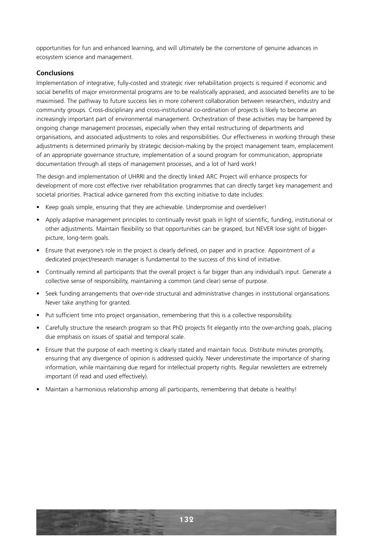opportunities for fun and enhanced learning, and will ultimately be the cornerstone of genuine advances in ecosystem science and management.

# **Conclusions**

Implementation of integrative, fully-costed and strategic river rehabilitation projects is required if economic and social benefits of major environmental programs are to be realistically appraised, and associated benefits are to be maximised. The pathway to future success lies in more coherent collaboration between researchers, industry and community groups. Cross-disciplinary and cross-institutional co-ordination of projects is likely to become an increasingly important part of environmental management. Orchestration of these activities may be hampered by ongoing change management processes, especially when they entail restructuring of departments and organisations, and associated adjustments to roles and responsibilities. Our effectiveness in working through these adjustments is determined primarily by strategic decision-making by the project management team, emplacement of an appropriate governance structure, implementation of a sound program for communication, appropriate documentation through all steps of management processes, and a lot of hard work!

The design and implementation of UHRRI and the directly linked ARC Project will enhance prospects for development of more cost effective river rehabilitation programmes that can directly target key management and societal priorities. Practical advice garnered from this exciting initiative to date includes:

- Keep goals simple, ensuring that they are achievable. Underpromise and overdeliver!
- Apply adaptive management principles to continually revisit goals in light of scientific, funding, institutional or other adjustments. Maintain flexibility so that opportunities can be grasped, but NEVER lose sight of biggerpicture, long-term goals.
- Ensure that everyone's role in the project is clearly defined, on paper and in practice. Appointment of a dedicated project/research manager is fundamental to the success of this kind of initiative.
- Continually remind all participants that the overall project is far bigger than any individual's input. Generate a collective sense of responsibility, maintaining a common (and clear) sense of purpose.
- Seek funding arrangements that over-ride structural and administrative changes in institutional organisations. Never take anything for granted.
- Put sufficient time into project organisation, remembering that this is a collective responsibility.
- Carefully structure the research program so that PhD projects fit elegantly into the over-arching goals, placing due emphasis on issues of spatial and temporal scale.
- Ensure that the purpose of each meeting is clearly stated and maintain focus. Distribute minutes promptly, ensuring that any divergence of opinion is addressed quickly. Never underestimate the importance of sharing information, while maintaining due regard for intellectual property rights. Regular newsletters are extremely important (if read and used effectively).
- Maintain a harmonious relationship among all participants, remembering that debate is healthy!